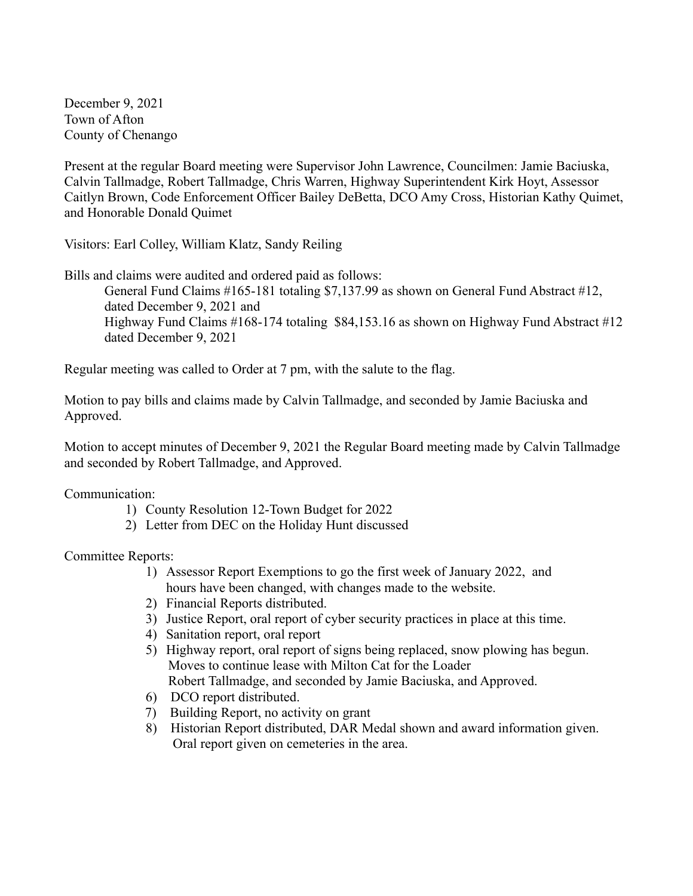December 9, 2021 Town of Afton County of Chenango

Present at the regular Board meeting were Supervisor John Lawrence, Councilmen: Jamie Baciuska, Calvin Tallmadge, Robert Tallmadge, Chris Warren, Highway Superintendent Kirk Hoyt, Assessor Caitlyn Brown, Code Enforcement Officer Bailey DeBetta, DCO Amy Cross, Historian Kathy Quimet, and Honorable Donald Quimet

Visitors: Earl Colley, William Klatz, Sandy Reiling

Bills and claims were audited and ordered paid as follows:

General Fund Claims #165-181 totaling \$7,137.99 as shown on General Fund Abstract #12, dated December 9, 2021 and Highway Fund Claims #168-174 totaling \$84,153.16 as shown on Highway Fund Abstract #12 dated December 9, 2021

Regular meeting was called to Order at 7 pm, with the salute to the flag.

Motion to pay bills and claims made by Calvin Tallmadge, and seconded by Jamie Baciuska and Approved.

Motion to accept minutes of December 9, 2021 the Regular Board meeting made by Calvin Tallmadge and seconded by Robert Tallmadge, and Approved.

Communication:

- 1) County Resolution 12-Town Budget for 2022
- 2) Letter from DEC on the Holiday Hunt discussed

Committee Reports:

- 1) Assessor Report Exemptions to go the first week of January 2022, and hours have been changed, with changes made to the website.
- 2) Financial Reports distributed.
- 3) Justice Report, oral report of cyber security practices in place at this time.
- 4) Sanitation report, oral report
- 5) Highway report, oral report of signs being replaced, snow plowing has begun. Moves to continue lease with Milton Cat for the Loader Robert Tallmadge, and seconded by Jamie Baciuska, and Approved.
- 6) DCO report distributed.
- 7) Building Report, no activity on grant
- 8) Historian Report distributed, DAR Medal shown and award information given. Oral report given on cemeteries in the area.